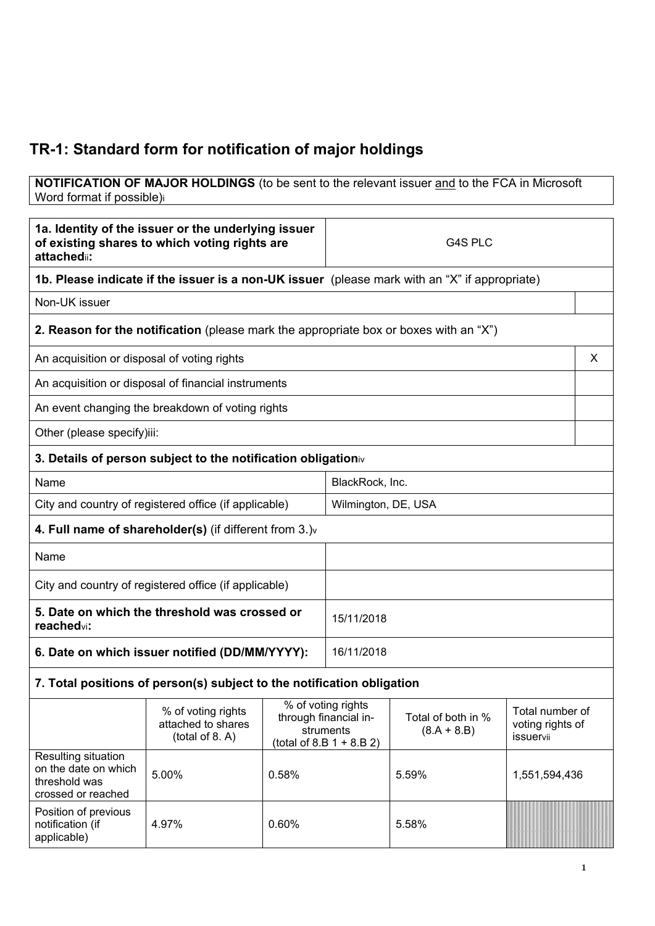# **TR-1: Standard form for notification of major holdings**

#### **NOTIFICATION OF MAJOR HOLDINGS** (to be sent to the relevant issuer and to the FCA in Microsoft Word format if possible)i

| 1a. Identity of the issuer or the underlying issuer<br>of existing shares to which voting rights are<br>attachedii:                                                                                               |                                                                                       |       | G4S PLC                             |       |  |   |
|-------------------------------------------------------------------------------------------------------------------------------------------------------------------------------------------------------------------|---------------------------------------------------------------------------------------|-------|-------------------------------------|-------|--|---|
| 1b. Please indicate if the issuer is a non-UK issuer (please mark with an "X" if appropriate)                                                                                                                     |                                                                                       |       |                                     |       |  |   |
| Non-UK issuer                                                                                                                                                                                                     |                                                                                       |       |                                     |       |  |   |
|                                                                                                                                                                                                                   | 2. Reason for the notification (please mark the appropriate box or boxes with an "X") |       |                                     |       |  |   |
| An acquisition or disposal of voting rights                                                                                                                                                                       |                                                                                       |       |                                     |       |  | X |
|                                                                                                                                                                                                                   | An acquisition or disposal of financial instruments                                   |       |                                     |       |  |   |
|                                                                                                                                                                                                                   | An event changing the breakdown of voting rights                                      |       |                                     |       |  |   |
| Other (please specify)iii:                                                                                                                                                                                        |                                                                                       |       |                                     |       |  |   |
|                                                                                                                                                                                                                   | 3. Details of person subject to the notification obligationiv                         |       |                                     |       |  |   |
| Name                                                                                                                                                                                                              |                                                                                       |       | BlackRock, Inc.                     |       |  |   |
|                                                                                                                                                                                                                   | City and country of registered office (if applicable)                                 |       | Wilmington, DE, USA                 |       |  |   |
|                                                                                                                                                                                                                   | 4. Full name of shareholder(s) (if different from $3.$ ) $v$                          |       |                                     |       |  |   |
| Name                                                                                                                                                                                                              |                                                                                       |       |                                     |       |  |   |
|                                                                                                                                                                                                                   | City and country of registered office (if applicable)                                 |       |                                     |       |  |   |
| reachedvi:                                                                                                                                                                                                        | 5. Date on which the threshold was crossed or                                         |       | 15/11/2018                          |       |  |   |
|                                                                                                                                                                                                                   | 6. Date on which issuer notified (DD/MM/YYYY):                                        |       | 16/11/2018                          |       |  |   |
|                                                                                                                                                                                                                   | 7. Total positions of person(s) subject to the notification obligation                |       |                                     |       |  |   |
| % of voting rights<br>% of voting rights<br>Total of both in %<br>through financial in-<br>attached to shares<br>struments<br>$(8.A + 8.B)$<br>(total of 8. A)<br><b>issuervii</b><br>(total of 8.B $1 + 8.B 2$ ) |                                                                                       |       | Total number of<br>voting rights of |       |  |   |
| Resulting situation<br>on the date on which<br>0.58%<br>5.00%<br>threshold was<br>crossed or reached                                                                                                              |                                                                                       | 5.59% | 1,551,594,436                       |       |  |   |
| Position of previous<br>notification (if<br>applicable)                                                                                                                                                           | 4.97%                                                                                 | 0.60% |                                     | 5.58% |  |   |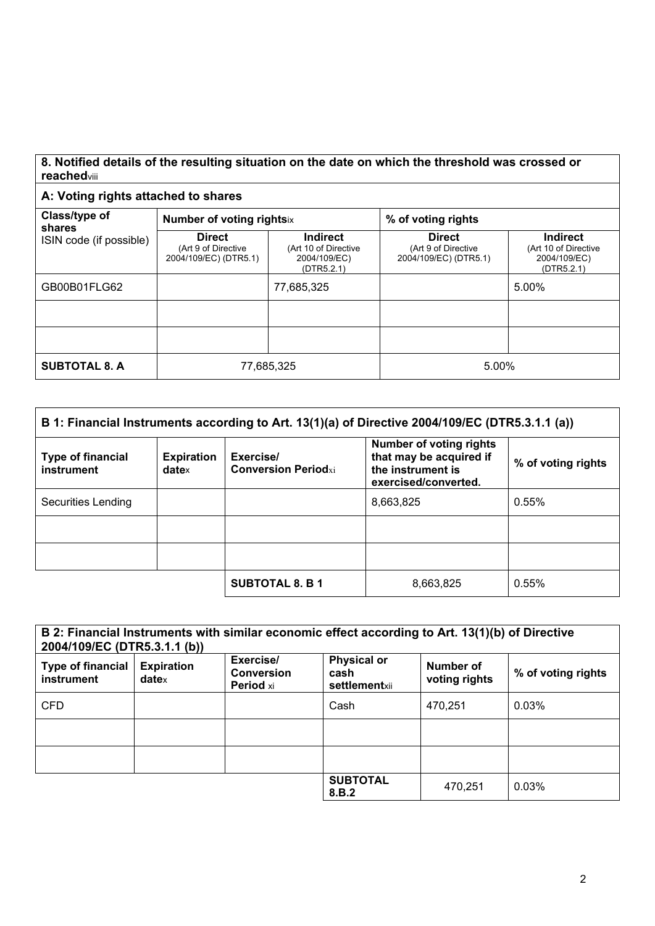#### **8. Notified details of the resulting situation on the date on which the threshold was crossed or reached**viii

### **A: Voting rights attached to shares**

| Class/type of<br>shares<br>ISIN code (if possible) | <b>Number of voting rightsix</b>                              |                                                                | % of voting rights                                            |                                                                       |  |
|----------------------------------------------------|---------------------------------------------------------------|----------------------------------------------------------------|---------------------------------------------------------------|-----------------------------------------------------------------------|--|
|                                                    | <b>Direct</b><br>(Art 9 of Directive<br>2004/109/EC) (DTR5.1) | Indirect<br>(Art 10 of Directive<br>2004/109/EC)<br>(DTR5.2.1) | <b>Direct</b><br>(Art 9 of Directive<br>2004/109/EC) (DTR5.1) | <b>Indirect</b><br>(Art 10 of Directive<br>2004/109/EC)<br>(DTR5.2.1) |  |
| GB00B01FLG62                                       |                                                               | 77,685,325                                                     |                                                               | 5.00%                                                                 |  |
|                                                    |                                                               |                                                                |                                                               |                                                                       |  |
|                                                    |                                                               |                                                                |                                                               |                                                                       |  |
| <b>SUBTOTAL 8. A</b>                               | 77,685,325                                                    |                                                                | 5.00%                                                         |                                                                       |  |

| B 1: Financial Instruments according to Art. 13(1)(a) of Directive 2004/109/EC (DTR5.3.1.1 (a)) |                                    |                                         |                                                                                                        |                    |  |  |
|-------------------------------------------------------------------------------------------------|------------------------------------|-----------------------------------------|--------------------------------------------------------------------------------------------------------|--------------------|--|--|
| <b>Type of financial</b><br>instrument                                                          | <b>Expiration</b><br>$date \times$ | Exercise/<br><b>Conversion Periodxi</b> | <b>Number of voting rights</b><br>that may be acquired if<br>the instrument is<br>exercised/converted. | % of voting rights |  |  |
| Securities Lending                                                                              |                                    |                                         | 8,663,825                                                                                              | 0.55%              |  |  |
|                                                                                                 |                                    |                                         |                                                                                                        |                    |  |  |
|                                                                                                 |                                    |                                         |                                                                                                        |                    |  |  |
|                                                                                                 |                                    | <b>SUBTOTAL 8. B 1</b>                  | 8,663,825                                                                                              | 0.55%              |  |  |

| B 2: Financial Instruments with similar economic effect according to Art. 13(1)(b) of Directive<br>2004/109/EC (DTR5.3.1.1 (b)) |                                        |                                                    |                                             |                            |                    |  |
|---------------------------------------------------------------------------------------------------------------------------------|----------------------------------------|----------------------------------------------------|---------------------------------------------|----------------------------|--------------------|--|
| <b>Type of financial</b><br>instrument                                                                                          | <b>Expiration</b><br>date <sub>x</sub> | Exercise/<br><b>Conversion</b><br><b>Period xi</b> | <b>Physical or</b><br>cash<br>settlementxii | Number of<br>voting rights | % of voting rights |  |
| <b>CFD</b>                                                                                                                      |                                        |                                                    | Cash                                        | 470,251                    | 0.03%              |  |
|                                                                                                                                 |                                        |                                                    |                                             |                            |                    |  |
|                                                                                                                                 |                                        |                                                    |                                             |                            |                    |  |
|                                                                                                                                 |                                        |                                                    | <b>SUBTOTAL</b><br>8.B.2                    | 470,251                    | 0.03%              |  |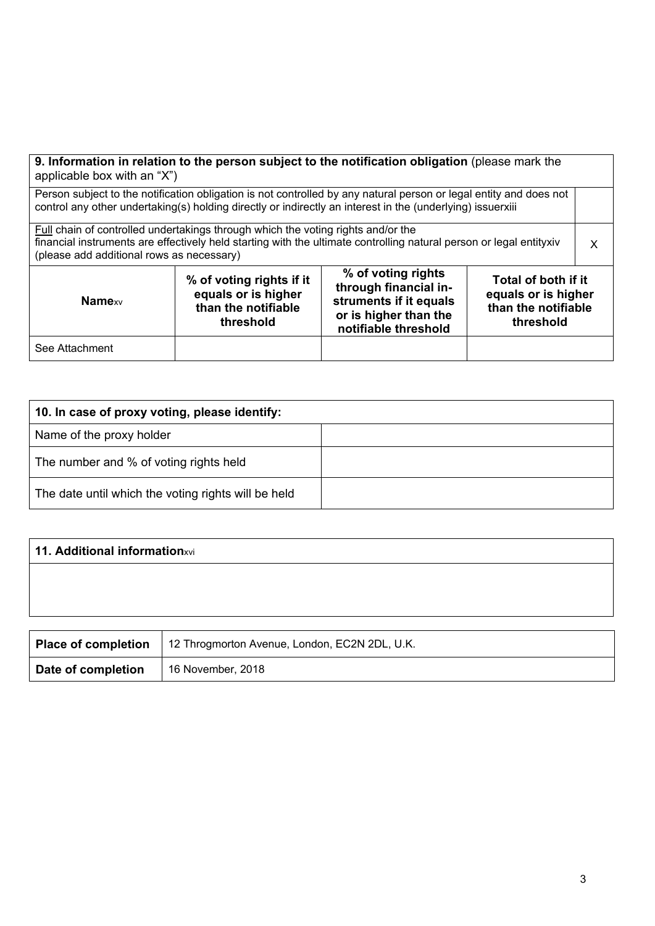| 9. Information in relation to the person subject to the notification obligation (please mark the<br>applicable box with an "X")                                                                                                                                                                                  |  |  |  |  |  |  |
|------------------------------------------------------------------------------------------------------------------------------------------------------------------------------------------------------------------------------------------------------------------------------------------------------------------|--|--|--|--|--|--|
| Person subject to the notification obligation is not controlled by any natural person or legal entity and does not<br>control any other undertaking(s) holding directly or indirectly an interest in the (underlying) issuerxiii                                                                                 |  |  |  |  |  |  |
| Full chain of controlled undertakings through which the voting rights and/or the<br>financial instruments are effectively held starting with the ultimate controlling natural person or legal entityxiv<br>(please add additional rows as necessary)                                                             |  |  |  |  |  |  |
| % of voting rights<br>% of voting rights if it<br>Total of both if it<br>through financial in-<br>equals or is higher<br>equals or is higher<br>struments if it equals<br><b>Namexv</b><br>than the notifiable<br>than the notifiable<br>or is higher than the<br>threshold<br>threshold<br>notifiable threshold |  |  |  |  |  |  |
| See Attachment                                                                                                                                                                                                                                                                                                   |  |  |  |  |  |  |

| 10. In case of proxy voting, please identify:       |  |  |
|-----------------------------------------------------|--|--|
| Name of the proxy holder                            |  |  |
| The number and % of voting rights held              |  |  |
| The date until which the voting rights will be held |  |  |

| 11. Additional informationxvi |                                               |  |  |  |  |
|-------------------------------|-----------------------------------------------|--|--|--|--|
|                               |                                               |  |  |  |  |
|                               |                                               |  |  |  |  |
|                               |                                               |  |  |  |  |
| Place of completion           | 12 Throgmorton Avenue, London, EC2N 2DL, U.K. |  |  |  |  |

|                    | Place of completion   12 Throgmorton Avenue, London, EC2N 2DL, U.K. |
|--------------------|---------------------------------------------------------------------|
| Date of completion | 16 November, 2018                                                   |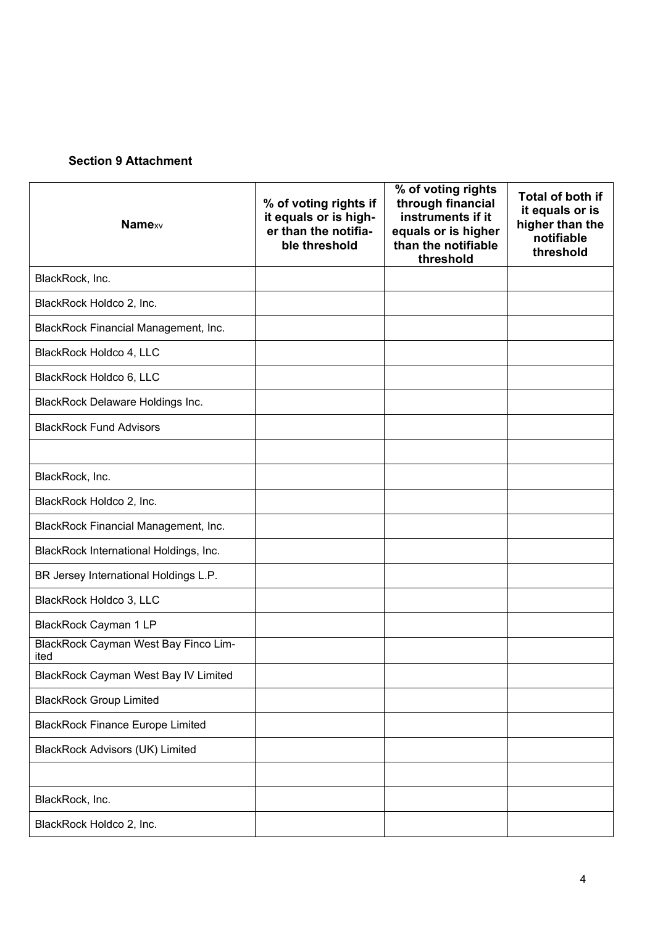## **Section 9 Attachment**

| <b>Namexv</b>                                       | % of voting rights if<br>it equals or is high-<br>er than the notifia-<br>ble threshold | % of voting rights<br>through financial<br>instruments if it<br>equals or is higher<br>than the notifiable<br>threshold | Total of both if<br>it equals or is<br>higher than the<br>notifiable<br>threshold |
|-----------------------------------------------------|-----------------------------------------------------------------------------------------|-------------------------------------------------------------------------------------------------------------------------|-----------------------------------------------------------------------------------|
| BlackRock, Inc.                                     |                                                                                         |                                                                                                                         |                                                                                   |
| BlackRock Holdco 2, Inc.                            |                                                                                         |                                                                                                                         |                                                                                   |
| BlackRock Financial Management, Inc.                |                                                                                         |                                                                                                                         |                                                                                   |
| BlackRock Holdco 4, LLC                             |                                                                                         |                                                                                                                         |                                                                                   |
| BlackRock Holdco 6, LLC                             |                                                                                         |                                                                                                                         |                                                                                   |
| <b>BlackRock Delaware Holdings Inc.</b>             |                                                                                         |                                                                                                                         |                                                                                   |
| <b>BlackRock Fund Advisors</b>                      |                                                                                         |                                                                                                                         |                                                                                   |
|                                                     |                                                                                         |                                                                                                                         |                                                                                   |
| BlackRock, Inc.                                     |                                                                                         |                                                                                                                         |                                                                                   |
| BlackRock Holdco 2, Inc.                            |                                                                                         |                                                                                                                         |                                                                                   |
| BlackRock Financial Management, Inc.                |                                                                                         |                                                                                                                         |                                                                                   |
| BlackRock International Holdings, Inc.              |                                                                                         |                                                                                                                         |                                                                                   |
| BR Jersey International Holdings L.P.               |                                                                                         |                                                                                                                         |                                                                                   |
| BlackRock Holdco 3, LLC                             |                                                                                         |                                                                                                                         |                                                                                   |
| BlackRock Cayman 1 LP                               |                                                                                         |                                                                                                                         |                                                                                   |
| <b>BlackRock Cayman West Bay Finco Lim-</b><br>ited |                                                                                         |                                                                                                                         |                                                                                   |
| <b>BlackRock Cayman West Bay IV Limited</b>         |                                                                                         |                                                                                                                         |                                                                                   |
| <b>BlackRock Group Limited</b>                      |                                                                                         |                                                                                                                         |                                                                                   |
| <b>BlackRock Finance Europe Limited</b>             |                                                                                         |                                                                                                                         |                                                                                   |
| <b>BlackRock Advisors (UK) Limited</b>              |                                                                                         |                                                                                                                         |                                                                                   |
|                                                     |                                                                                         |                                                                                                                         |                                                                                   |
| BlackRock, Inc.                                     |                                                                                         |                                                                                                                         |                                                                                   |
| BlackRock Holdco 2, Inc.                            |                                                                                         |                                                                                                                         |                                                                                   |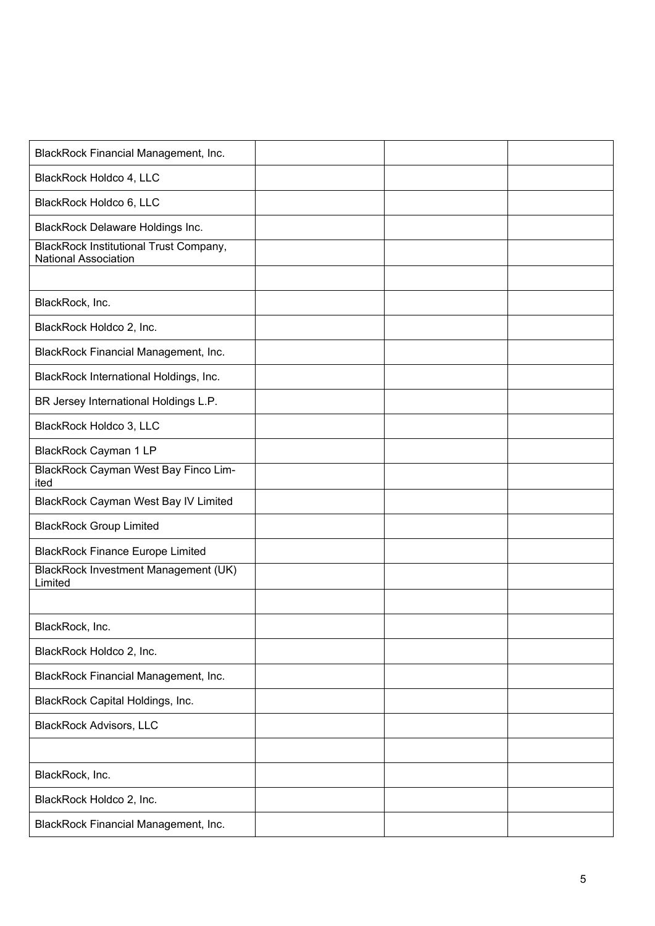| BlackRock Financial Management, Inc.                                  |  |  |
|-----------------------------------------------------------------------|--|--|
| BlackRock Holdco 4, LLC                                               |  |  |
| BlackRock Holdco 6, LLC                                               |  |  |
| <b>BlackRock Delaware Holdings Inc.</b>                               |  |  |
| <b>BlackRock Institutional Trust Company,</b><br>National Association |  |  |
|                                                                       |  |  |
| BlackRock, Inc.                                                       |  |  |
| BlackRock Holdco 2, Inc.                                              |  |  |
| BlackRock Financial Management, Inc.                                  |  |  |
| BlackRock International Holdings, Inc.                                |  |  |
| BR Jersey International Holdings L.P.                                 |  |  |
| BlackRock Holdco 3, LLC                                               |  |  |
| BlackRock Cayman 1 LP                                                 |  |  |
| BlackRock Cayman West Bay Finco Lim-<br>ited                          |  |  |
| <b>BlackRock Cayman West Bay IV Limited</b>                           |  |  |
| <b>BlackRock Group Limited</b>                                        |  |  |
| <b>BlackRock Finance Europe Limited</b>                               |  |  |
| <b>BlackRock Investment Management (UK)</b><br>Limited                |  |  |
|                                                                       |  |  |
| BlackRock, Inc.                                                       |  |  |
| BlackRock Holdco 2, Inc.                                              |  |  |
| BlackRock Financial Management, Inc.                                  |  |  |
| BlackRock Capital Holdings, Inc.                                      |  |  |
| <b>BlackRock Advisors, LLC</b>                                        |  |  |
|                                                                       |  |  |
| BlackRock, Inc.                                                       |  |  |
| BlackRock Holdco 2, Inc.                                              |  |  |
| BlackRock Financial Management, Inc.                                  |  |  |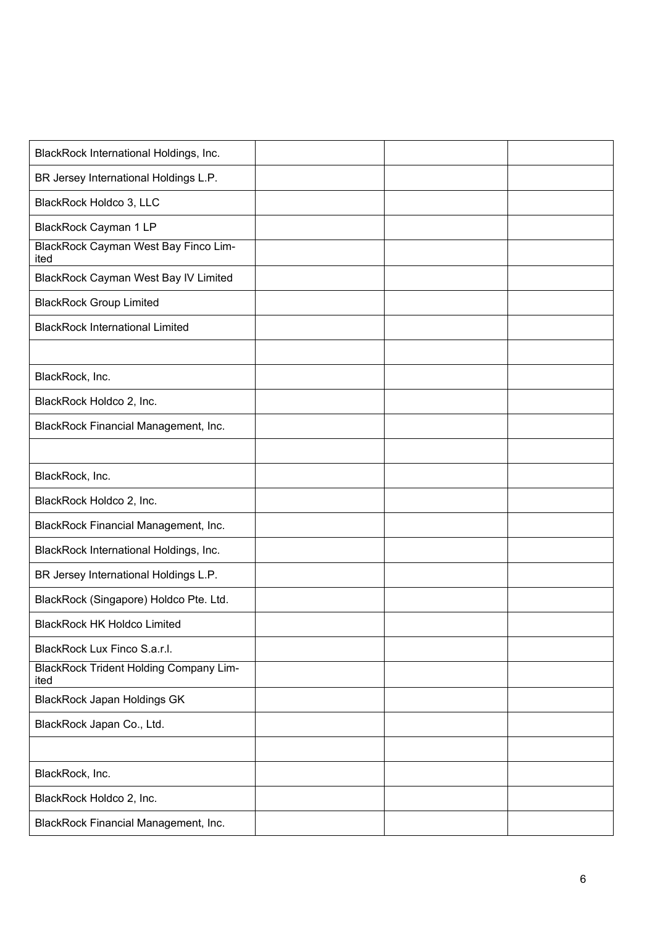| BlackRock International Holdings, Inc.                |  |  |
|-------------------------------------------------------|--|--|
| BR Jersey International Holdings L.P.                 |  |  |
| BlackRock Holdco 3, LLC                               |  |  |
| BlackRock Cayman 1 LP                                 |  |  |
| BlackRock Cayman West Bay Finco Lim-<br>ited          |  |  |
| <b>BlackRock Cayman West Bay IV Limited</b>           |  |  |
| <b>BlackRock Group Limited</b>                        |  |  |
| <b>BlackRock International Limited</b>                |  |  |
|                                                       |  |  |
| BlackRock, Inc.                                       |  |  |
| BlackRock Holdco 2, Inc.                              |  |  |
| BlackRock Financial Management, Inc.                  |  |  |
|                                                       |  |  |
| BlackRock, Inc.                                       |  |  |
| BlackRock Holdco 2, Inc.                              |  |  |
| BlackRock Financial Management, Inc.                  |  |  |
| BlackRock International Holdings, Inc.                |  |  |
| BR Jersey International Holdings L.P.                 |  |  |
| BlackRock (Singapore) Holdco Pte. Ltd.                |  |  |
| <b>BlackRock HK Holdco Limited</b>                    |  |  |
| BlackRock Lux Finco S.a.r.l.                          |  |  |
| <b>BlackRock Trident Holding Company Lim-</b><br>ited |  |  |
| <b>BlackRock Japan Holdings GK</b>                    |  |  |
| BlackRock Japan Co., Ltd.                             |  |  |
|                                                       |  |  |
| BlackRock, Inc.                                       |  |  |
| BlackRock Holdco 2, Inc.                              |  |  |
| BlackRock Financial Management, Inc.                  |  |  |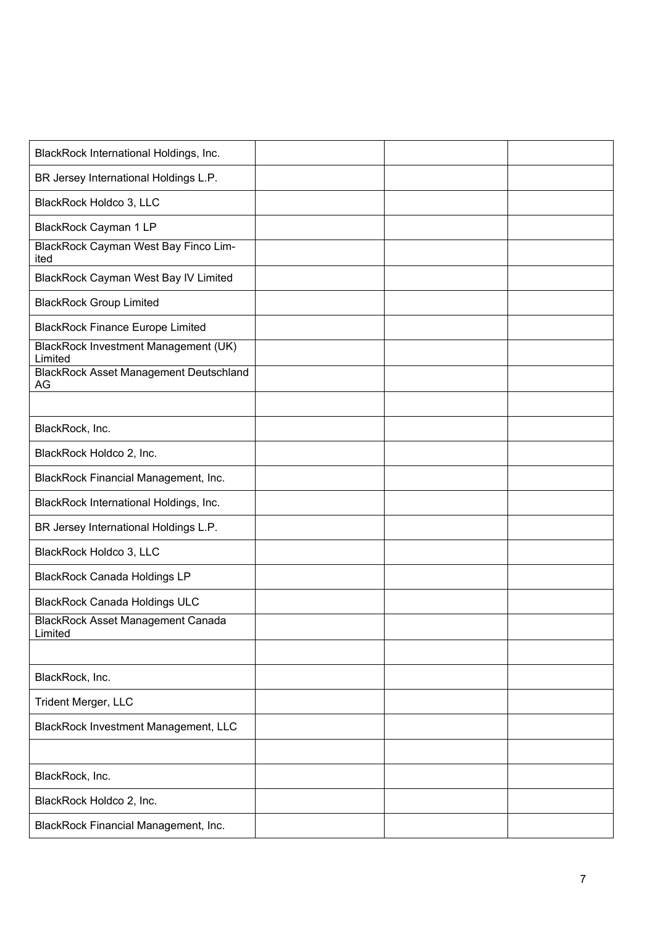| BlackRock International Holdings, Inc.                 |  |  |
|--------------------------------------------------------|--|--|
| BR Jersey International Holdings L.P.                  |  |  |
| BlackRock Holdco 3, LLC                                |  |  |
| BlackRock Cayman 1 LP                                  |  |  |
| <b>BlackRock Cayman West Bay Finco Lim-</b><br>ited    |  |  |
| <b>BlackRock Cayman West Bay IV Limited</b>            |  |  |
| <b>BlackRock Group Limited</b>                         |  |  |
| <b>BlackRock Finance Europe Limited</b>                |  |  |
| <b>BlackRock Investment Management (UK)</b><br>Limited |  |  |
| <b>BlackRock Asset Management Deutschland</b><br>AG    |  |  |
|                                                        |  |  |
| BlackRock, Inc.                                        |  |  |
| BlackRock Holdco 2, Inc.                               |  |  |
| BlackRock Financial Management, Inc.                   |  |  |
| BlackRock International Holdings, Inc.                 |  |  |
| BR Jersey International Holdings L.P.                  |  |  |
| BlackRock Holdco 3, LLC                                |  |  |
| <b>BlackRock Canada Holdings LP</b>                    |  |  |
| <b>BlackRock Canada Holdings ULC</b>                   |  |  |
| <b>BlackRock Asset Management Canada</b><br>Limited    |  |  |
|                                                        |  |  |
| BlackRock, Inc.                                        |  |  |
| Trident Merger, LLC                                    |  |  |
| BlackRock Investment Management, LLC                   |  |  |
|                                                        |  |  |
| BlackRock, Inc.                                        |  |  |
| BlackRock Holdco 2, Inc.                               |  |  |
| BlackRock Financial Management, Inc.                   |  |  |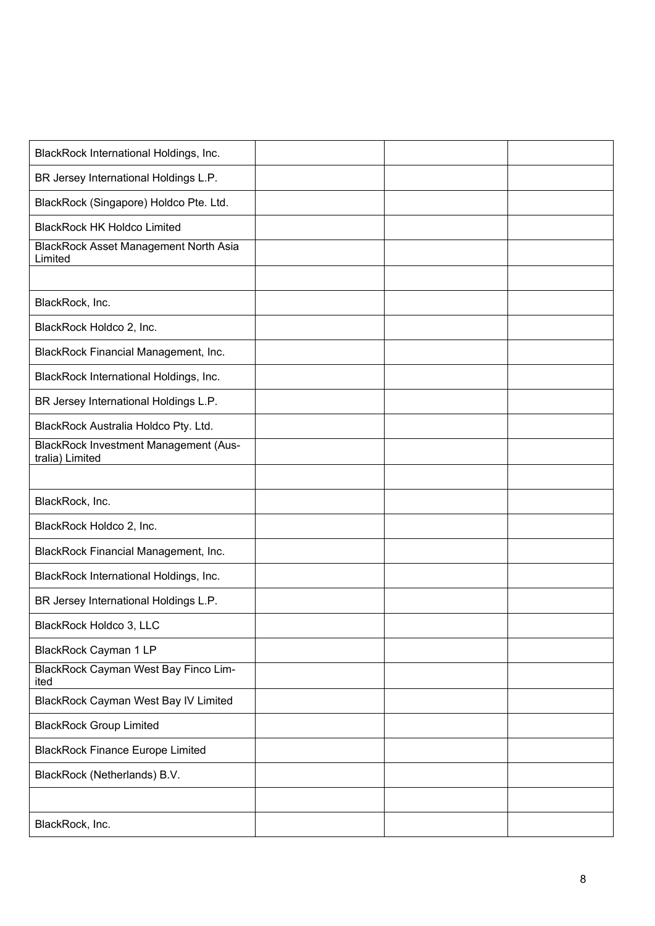| BlackRock International Holdings, Inc.                          |  |  |
|-----------------------------------------------------------------|--|--|
| BR Jersey International Holdings L.P.                           |  |  |
| BlackRock (Singapore) Holdco Pte. Ltd.                          |  |  |
| <b>BlackRock HK Holdco Limited</b>                              |  |  |
| <b>BlackRock Asset Management North Asia</b><br>Limited         |  |  |
|                                                                 |  |  |
| BlackRock, Inc.                                                 |  |  |
| BlackRock Holdco 2, Inc.                                        |  |  |
| BlackRock Financial Management, Inc.                            |  |  |
| BlackRock International Holdings, Inc.                          |  |  |
| BR Jersey International Holdings L.P.                           |  |  |
| BlackRock Australia Holdco Pty. Ltd.                            |  |  |
| <b>BlackRock Investment Management (Aus-</b><br>tralia) Limited |  |  |
|                                                                 |  |  |
|                                                                 |  |  |
| BlackRock, Inc.                                                 |  |  |
| BlackRock Holdco 2, Inc.                                        |  |  |
| BlackRock Financial Management, Inc.                            |  |  |
| BlackRock International Holdings, Inc.                          |  |  |
| BR Jersey International Holdings L.P.                           |  |  |
| BlackRock Holdco 3, LLC                                         |  |  |
| <b>BlackRock Cayman 1 LP</b>                                    |  |  |
| <b>BlackRock Cayman West Bay Finco Lim-</b><br>ited             |  |  |
| <b>BlackRock Cayman West Bay IV Limited</b>                     |  |  |
| <b>BlackRock Group Limited</b>                                  |  |  |
| <b>BlackRock Finance Europe Limited</b>                         |  |  |
| BlackRock (Netherlands) B.V.                                    |  |  |
|                                                                 |  |  |